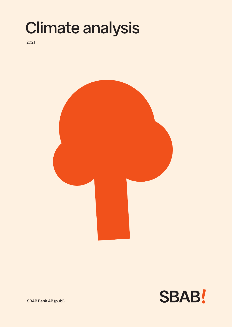## Climate analysis

2021





SBAB Bank AB (publ)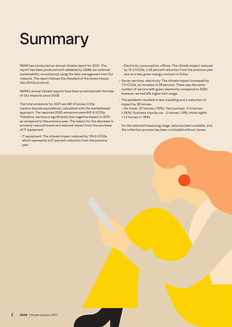# **Summary**

SBAB has conducted an annual climate report for 2021. The report has been produced and validated by U&We (an external sustainability consultancy) using the data management tool *Our Impacts*. The report follows the standard of the Green House Gas (GHG) protocol.

SBAB's annual climate reports have been produced with the help of *Our Impacts since 2009.*

The total emissions for 2021 are 461.9 tonnes CO2e (carbon dioxide equivalents), calculated with the marketbased approach. The reported 2020 emissions were 601.8 tCO2e. Therefore, we have a significantly less negative impact in 2021 as compared to the previous year. The reason for the decrease is primarily reduced travel and reduced impact from the purchase of IT equipment.

**•** IT equipment: The climate impact reduced by 139.9 tCO2e, which represents a 27 percent reduction from the previous year.

- Electricity consumption, offices: The climate impact reduced by 15.2 tCO2e, a 29 percent reduction from the previous year due to a new green energy contract in Solna.
- **•** Server services, electricity: The climate impact increased by 7.4 tCO2e, an increase of 28 percent. There was the same number of servers with green electricity compared to 2020, however, we had 8% higher kwh usage.
- **•** The pandemic resulted in less travelling and a reduction of impact by 28 tonnes. *–* Air travel -27 tonnes (-75%), Taxi journeys -0.4 tonnes
- (-36%). Business trips by car 2 tonnes (-9%). Hotel nights +1.2 tonnes (+ 18%)

For the selected measuring range, data has been available, and the collection process has been concluded without issues.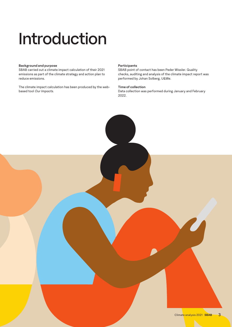## Introduction

#### **Background and purpose**

SBAB carried out a climate impact calculation of their 2021 emissions as part of the climate strategy and action plan to reduce emissions.

The climate impact calculation has been produced by the webbased tool *Our Impacts.*

#### **Participants**

SBAB point of contact has been Peder Wissler. Quality checks, auditing and analysis of the climate impact report was performed by Johan Solberg, U&We.

#### **Time of collection**

Data collection was performed during January and February 2022.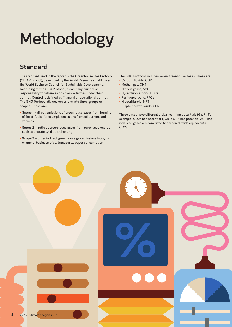# Methodology

## **Standard**

The standard used in the report is the Greenhouse Gas Protocol (GHG Protocol), developed by the World Resources Institute and the World Business Council for Sustainable Development. According to the GHG Protocol, a company must take responsibility for all emissions from activities under their control. Control is defined as financial or operational control. The GHG Protocol divides emissions into three groups or scopes. These are:

- **• Scope 1** direct emissions of greenhouse gases from burning of fossil fuels, for example emissions from oil burners and vehicles
- **• Scope 2** indirect greenhouse gases from purchased energy such as electricity, district heating
- **• Scope 3** other indirect greenhouse gas emissions from, for example, business trips, transports, paper consumption

The GHG Protocol includes seven greenhouse gases. These are:

- **•** Carbon dioxide, CO2
- **•** Methan gas, CH4
- **•** Nitrous gases, N2O
- **•** Hydrofluorcarbons, HFCs
- **•** Perfluorcarbons, PFCs
- **•** Nitrotrifluroid, NF3
- **•** Sulphur hexafluoride, SF6

These gases have different global warming potentials (GWP). For example, CO2e has potential 1, while CH4 has potential 25. That is why all gases are converted to carbon dioxide equivalents CO2e.

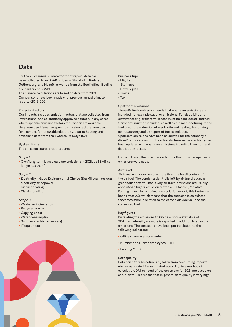### **Data**

For the 2021 annual climate footprint report, data has been collected from SBAB offices in Stockholm, Karlstad, Gothenburg, and Malmö, as well as from the Booli office (Booli is a subsidiary of SBAB).

The climate calculations are based on data from 2021. Comparisons have been made with previous annual climate reports (2015-2021).

#### **Emission factors**

Our Impacts includes emission factors that are collected from international and scientifically approved sources. In any cases where specific emission factors for Sweden are available, they were used. Sweden specific emission factors were used, for example, for renewable electricity, district heating and emissions data from the Swedish Railways (SJ).

#### **System limits**

The emission sources reported are:

#### *Scope 1*

**•** Own/long-term leased cars (no emissions in 2021, as SBAB no longer has them)

#### *Scope 2*

- **•** Electricity Good Environmental Choice (Bra Miljöval), residual electricity, windpower
- **•** District heating
- **•** District cooling

#### *Scope 3*

- **•** Waste for incineration
- **•** Recycled waste
- **•** Copying paper
- **•** Water consumption
- **•** Supplier electricity (servers)
- **•** IT equipment



- Business trips
- Flights
- Staff cars
- Hotel nights
- Trains
- Taxi

#### **Upstream emissions**

The GHG Protocol recommends that upstream emissions are included, for example supplier emissions. For electricity and district heating, transferral losses must be considered, and fuel transports must be included, as well as the manufacturing of the fuel used for production of electricity and heating. For driving, manufacturing and transport of fuel is included. Upstream emissions have been calculated for the company's diesel/petrol cars and for train travels. Renewable electricity has been updated with upstream emissions including transport and distribution losses.

For train travel, the SJ emission factors that consider upstream emissions were used.

#### **Air travel**

Air travel emissions include more than the fossil content of the air fuel. The condensation trails left by air travel cause a greenhouse effect. That is why air travel emissions are usually appointed a higher emission factor, a RFI factor (Radiative Forcing Index). In this climate calculation report, this factor has been set at 2.0, which means that the emission is calculated two times more in relation to the carbon dioxide value of the consumed fuel.

#### **Key figures**

By relating the emissions to key descriptive statistics at SBAB, an intensity measure is reported in addition to absolute emissions. The emissions have been put in relation to the following indicators:

- **•** Office space in square meter
- **•** Number of full-time employees (FTE)
- **•** Lending MSEK

#### **Data quality**

Data can either be actual, i.e., taken from accounting, reports etc., or estimated, i.e. estimated according to a method of calculation. 97.1 per cent of the emissions for 2021 are based on actual data. This means that in general data quality is very high.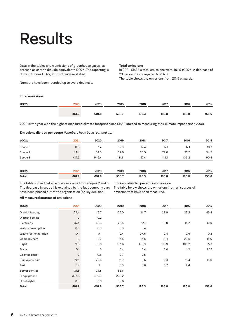## **Results**

Data in the tables show emissions of greenhouse gases, expressed as carbon dioxide equivalents CO2e. The reporting is done in tonnes CO2e, if not otherwise stated.

Numbers have been rounded up to avoid decimals.

#### **Total emissions**

In 2021, SBAB's total emissions were 461.9 tCO2e. A decrease of 23 per cent as compared to 2020. The table shows the emissions from 2015 onwards.

#### **Total emissions**

| tCO <sub>2e</sub> | 2021  | 2020  | 2019  | 2018  | 2017  | 2016  | 2015  |
|-------------------|-------|-------|-------|-------|-------|-------|-------|
|                   | 461.9 | 601.8 | 533.7 | 193.3 | 183.8 | 186.0 | 158.6 |

2020 is the year with the highest measured climate footprint since SBAB started to measuring their climate impact since 2009.

#### **Emissions divided per scope** *(Numbers have been rounded up)*

| tCO2e   | 2021  | 2020  | 2019  | 2018  | 2017  | 2016  | 2015 |
|---------|-------|-------|-------|-------|-------|-------|------|
| Scope 1 | 0.0   | 1.4   | 12.3  | 12.4  | 17.1  | 17.1  | 13.7 |
| Scope 2 | 44.4  | 54.0  | 39.6  | 23.5  | 22.6  | 32.7  | 54.5 |
| Scope 3 | 417.5 | 546.4 | 481.8 | 157.4 | 144.1 | 136.2 | 90.4 |
| tCO2e   | 2021  | 2020  | 2019  | 2018  | 2017  | 2016  | 2015 |

**Total 461.9 601.8 533.7 193.3 183.8 186.0 158.6**

The table shows that all emissions come from scopes 2 and 3. The decrease in scope 1 is explained by the fact company cars have been phased out of the organisation (policy decision).

**Emission divided per emission source**

The table below shows the emissions from all sources of emission that have been measured.

#### **All measured sources of emissions**

| tCO2e                  | 2021                | 2020        | 2019  | 2018  | 2017  | 2016  | 2015  |
|------------------------|---------------------|-------------|-------|-------|-------|-------|-------|
| District heating       | 29.4                | 15.7        | 26.0  | 24.7  | 23.9  | 25.2  | 45.4  |
| District cooling       | $\mathsf{O}\xspace$ | 0.2         |       |       |       |       |       |
| Electricity            | 37.4                | 52.6        | 26.5  | 12.1  | 10.8  | 14.2  | 15.0  |
| Water consumption      | 0.5                 | 0.3         | 0.3   | 0.4   |       |       |       |
| Waste for incineration | 0.1                 | 0.1         | 0.4   | 0.06  | 0.4   | 2.6   | 0.2   |
| Company cars           | $\circ$             | 0.7         | 15.5  | 15.5  | 21.4  | 20.5  | 15.0  |
| Flight                 | 9.0                 | 35.8        | 131.6 | 130.3 | 115.9 | 108.2 | 65.7  |
| Trains                 | 0.1                 | $\mathbf 0$ | 0.4   | 0.4   | 0.4   | 1.5   | 1.32  |
| Copying paper          | $\circ$             | 0.8         | 0.7   | 0.5   |       |       |       |
| Employees' cars        | 22.1                | 23.6        | 11.7  | 5.6   | 7.3   | 11.4  | 16.0  |
| Taxi                   | 0.7                 | 1.1         | 3.3   | 3.6   | 3.7   | 2.4   |       |
| Server centres         | 31.8                | 24.8        | 88.6  |       |       |       |       |
| IT equipment           | 322.8               | 439.3       | 209.2 |       |       |       |       |
| Hotel nights           | 8.0                 | 6.8         | 19.6  |       |       |       |       |
| Total                  | 461.9               | 601.8       | 533.7 | 193.3 | 183.8 | 186.0 | 158.6 |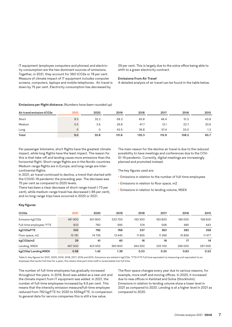IT equipment (employee computers and phones) and electricity consumption are the two dominant sources of emissions. Together, in 2021, they account for 360 tCO2e or 78 per cent. Measure of climate impact of IT equipment includes computer screens, computers, laptops and mobile telephones. Air travel is down by 75 per cent. Electricity consumption has decreased by

29 per cent. This is largely due to the solna office being able to shift to a green electricity contract.

#### **Emissions from Air Travel**

A detailed analysis of air travel can be found in the table below.

#### **Emissions per flight distance** *(Numbers have been rounded up)*

| Air travel emission tCO2e | 2021 | 2020 | 2019  | 2018  | 2017  | 2016  | 2015 |
|---------------------------|------|------|-------|-------|-------|-------|------|
| Short                     | 8.5  | 32.2 | 58.3  | 45.8  | 46.4  | 51.5  | 43.8 |
| Medium                    | 0.5  | 3.6  | 29.8  | 47.7  | 12.1  | 23.7  | 20.6 |
| Long                      |      |      | 43.5  | 36.8  | 57.4  | 33.0  | 1.3  |
| Total                     | 9.0  | 35.8 | 131.6 | 130.3 | 115.9 | 108.2 | 65.7 |

Per passenger kilometre, short flights have the greatest climate impact, while long flights have the least impact. The reason for this is that take-off and landing cause more emissions than the horizontal flight. Short-range flights are in the Nordic countries. Medium-range flights are in Europe, and long-range are intercontinental flights.

In 2021, air travel continued to decline, a trend that started with the COVID-19 pandemic the preceding year. The decrease was 75 per cent as compared to 2020 levels.

There has been a clear decrease of short-range travel (-73 per cent), while medium-range travel has decreased (-86 per cent), and no long-range trips have occurred in 2020 or 2021.

The main reason for the decline air travel is due to the reduced possibility to have meetings and conferences due to the COV-ID-19 pandemic. Currently, digital meetings are increasingly planned and promoted instead.

The key figures used are:

- **•** Emissions in relation to the number of full-time employees
- **•** Emissions in relation to floor space, m2
- **•** Emissions in relation to lending volume, MSEK

#### **Key figures**

| tCO2e                    | 2021   | 2020    | 2019     | 2018    | 2017     | 2016    | 2015    |
|--------------------------|--------|---------|----------|---------|----------|---------|---------|
| Emission kgCO2e          | 461900 | 601800  | 533700   | 193 300 | 183800   | 186000  | 158 600 |
| Full-time employees *FTE | 833    | 760     | 695      | 574     | 506      | 485     | 443     |
| kgCO2e/FTE               | 555    | 792     | 768      | 337     | 363      | 383     | 358     |
| Floor space, m2          | 15781  | 14736   | 13 4 4 5 | 11855   | 11 2 6 6 | 10856   | 11 477  |
| kgCO2e/m2                | 29     | 41      | 40       | 16      | 16       | 17      | 14      |
| Lending, MSEK            | 467000 | 423 000 | 383800   | 364 200 | 335100   | 296 000 | 297000  |
| kgCO2e/Lending MSEK      | 0.98   | 1.42    | 1.39     | 0.53    | 0.55     | 0.63    | 0.53    |

Table 5. Key figures for 2021, 2020, 2019, 2018, 2017, 2016 and 2015. Emissions are stated in kgCO2e. \*FTE=FTE Full time equivalent (a measuring unit equivalent to an employee that works full time for a year), this means that part-time staff is recalculated into full time.

The number of full-time employees has gradually increased throughout the years. In 2019, Booli was added as a new unit and the climate impact from IT equipment was added. In 2021, the number of full-time employees increased by 9.6 per cent. This means that the intensity emission measure/full-time employee reduced from 792 kg/FTE for 2020 to 555kg/FTE. In comparison to general data for service companies this is still a low value.

The floor space changes every year due to various reasons, for example, more staff and moving offices. In 2020, it increased due to new offices in Karlstad and Solna (Stockholm). Emissions in relation to lending volume show a lower level in 2021 as compared to 2020. Lending is at a higher level in 2021 as compared to 2020.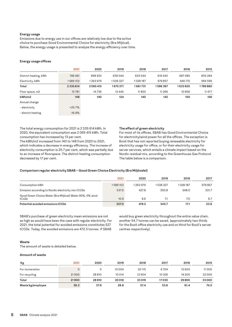#### **Energy usage**

Emissions due to energy use in our offices are relatively low due to the active choice to purchase Good Environmental Choice for electricity (Bra Miljöval). Below, the energy usage is presented to analyse the energy efficiency over time.

#### **Energy usage offices**

|                       | 2021     | 2020    | 2019    | 2018     | 2017     | 2016    | 2015    |
|-----------------------|----------|---------|---------|----------|----------|---------|---------|
| District heating, kWh | 746461   | 898932  | 639044  | 633 544  | 616 540  | 687485  | 805 284 |
| Electricity, kWh      | 589153   | 1263979 | 1036327 | 1028 187 | 979 857  | 946 170 | 984 596 |
| Total                 | 2335614  | 2065415 | 1675371 | 1661731  | 1596397  | 1633655 | 1789880 |
| Floor space, m2       | 15781    | 14736   | 13445   | 11855    | 11 2 6 6 | 10856   | 11 477  |
| kWh/m2                | 148      | 140     | 124     | 140      | 142      | 150     | 156     |
| Annual change         |          |         |         |          |          |         |         |
| - electricity         | $+25.7%$ |         |         |          |          |         |         |
| - district heating    | $-16.9%$ |         |         |          |          |         |         |

The total energy consumption for 2021 is 2 335 614 kWh. In 2020, the equivalent consumption was 2 065 415 kWh. Total consumption has increased by 13 per cent.

The kWh/m2 increased from 140 to 148 from 2020 to 2021, which indicates a decrease in energy efficiency. The increase of electricity consumption is 25.7 per cent, which was partially due to an increase of floorspace. The district heating consumption decreased by 17 per cent.

#### **The effect of green electricity**

For most of its offices, SBAB has Good Environmental Choice for electricity/wind power for all the offices. The exception is Booli that has not reported buying renewable electricity for electricity usage for office, or for their electricity usage for server services, which entails a climate impact based on the Nordic residual mix, according to the Greenhouse Gas Protocol. The table below is a comparison.

#### **Comparison regular electricity SBAB – Good Green Choice Electricity (Bra Miljövalel)**

|                                                                    | 2021    | 2020    | 2019    | 2018    | 2017   |
|--------------------------------------------------------------------|---------|---------|---------|---------|--------|
| Consumption kWh                                                    | 1589153 | 1263979 | 1036327 | 1028187 | 979857 |
| Emission according to Nordic electricity mix tCO2e                 | 537.9   | 427.8   | 350.8   | 348.0   | 331.7  |
| Good Green Choice Water (Bra Miljöval) Water 95%, 5% wind<br>tCo2e | 10.9    | 8.6     |         | 7.0     | 6.7    |
| Potential avoided emissions tCO2e                                  | 527.0   | 419.2   | 343.7   | 17.1    | 23.6   |

SBAB's purchase of green electricity mean emissions are not as high as would have been the case with regular electricity. For 2021, the total potential for avoided emissions constitutes 527 tCO2e. Today, the avoided emissions are 472.3 tonnes. If SBAB

would buy green electricity throughout the entire value chain, another 54.7 tonnes can be saved, (approximately two thirds for the Booli office electricity use and on third for Booli's server centres respectively).

#### **Waste**

The amount of waste is detailed below.

#### **Amount of waste**

| Kg                | 2021  | 2020   | 2019   | 2018   | 2017    | 2016   | 2015  |
|-------------------|-------|--------|--------|--------|---------|--------|-------|
| For incineration  |       |        | 10004  | 20 115 | 6704    | 13 600 | 11000 |
| For recycling     | 21900 | 28 810 | 10 014 | 12 904 | 10 3 26 | 16 200 | 22000 |
| Total             | 21900 | 28810  | 20018  | 33019  | 17030   | 29800  | 33000 |
| Waste kg/employee | 26.3  | 37.9   | 28.8   | 57.4   | 33.6    | 61.4   | 74.5  |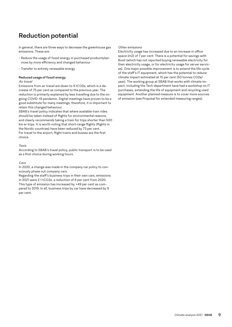## **Reduction potential**

In general, there are three ways to decrease the greenhouse gas emissions. These are:

- **•** Reduce the usage of fossil energy in purchased products/services by more efficiency and changed behaviour
- **•** Transfer to entirely renewable energy

#### **Reduced usage of fossil energy**

#### *Air travel*

Emissions from air travel are down to 9 tCO2e, which is a decrease of 75 per cent as compared to the previous year. The reduction is primarily explained by less travelling due to the ongoing COVID-19 pandemic. Digital meetings have proven to be a good substitute for many meetings; therefore, it is important to retain this changed behaviour.

SBAB's travel policy indicates that where available train rides should be taken instead of flights for environmental reasons, and clearly recommends taking a train for trips shorter than 500 km er trips. It is worth noting that short-range flights (flights in the Nordic countries) have been reduced by 73 per cent. For travel to the airport, flight trains and busses are the first choice.

#### *Taxis*

According to SBAB's travel policy, public transport is to be used as a first choice during working hours.

#### *Cars*

In 2020, a change was made in the company car policy to consciously phase out company cars.

Regarding the staff's business trips in their own cars, emissions in 2021 were 2.1 tCO2e, a reduction of 6 per cent from 2020. This type of emission has increased by +49 per cent as compared to 2019. In all, business trips by car have decreased by 9 per cent.

#### *Other emissions*

Electricity usage has increased due to an increase in office space (m2) of 7 per cent. There is a potential for savings with Booli (which has not reported buying renewable electricity for their electricity usage, or for electricity usage for server services). One major possible improvement is to extend the life cycle of the staff's IT equipment, which has the potential to reduce climate impact estimated at 15 per cent (50 tonnes CO2e/ year). The working group at SBAB that works with climate impact, including the Tech department have had a workshop on IT purchases, extending the life of equipment and recycling used equipment. Another planned measure is to cover more sources of emission (see Proposal for extended measuring ranges).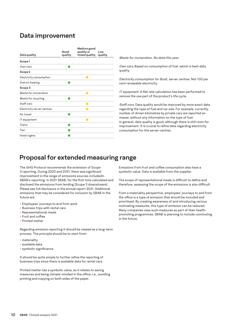### **Data improvement**

| Data quality               | Good<br>quality | Medium good<br>quality or<br>mixed quality | Low<br>quality |
|----------------------------|-----------------|--------------------------------------------|----------------|
| Scope 1                    |                 |                                            |                |
| Own cars                   |                 |                                            |                |
| Scope 2                    |                 |                                            |                |
| Electricity consumption    |                 |                                            |                |
| District heating           |                 |                                            |                |
| Scope 3                    |                 |                                            |                |
| Waste for incineration     |                 | œ                                          |                |
| Waste for recycling        |                 |                                            |                |
| Staff cars                 |                 | œ                                          |                |
| Electricity server centres |                 |                                            |                |
| Air travel                 |                 |                                            |                |
| IT equipment               |                 |                                            |                |
| Trains                     |                 |                                            |                |
| Taxi                       |                 |                                            |                |
| Hotel nights               |                 |                                            |                |
|                            |                 |                                            |                |

*Waste for incineration. No data this year.*

*Own cars.* Based on consumption of fuel, which is best data quality.

*Electricity consumption for Booli, server centres.* Not 100 per cent renewable electricity.

*IT equipment.* A flat rate calculation has been performed to remove the use part of the product's life cycle.

*Staff cars.* Data quality would be improved by more exact data regarding the type of fuel and car size. For example, currently, number of driven kilometres by private cars are reported en masse, without any information on the type of fuel. In general, data quality is good, although there is still room for improvement. It is crucial to refine data regarding electricity consumption for the server centres.

### **Proposal for extended measuring range**

The GHG Protocol recommends the extension of Scope 3 reporting. During 2020 and 2021, there was significant improvement in the range of emissions sources includedin SBAB's reporting. In 2021 SBAB, for the first time calculated and disclosed the emissions from lending (Scope 3 downstream). Please see full disclosure in the annual report 2021. Additional emissions that may be considered for inclusion by SBAB in the future are:

- **•** Employees' journeys to and from work
- **•** Business trips with rental cars
- **•** Representational meals
- **•** Fruit and coffee
- **•** Printed matter

Regarding emission reporting it should be viewed as a long-term process. The principle should be to start from:

- **•** materiality
- **•** available data
- **•** symbolic significance

It should be quite simple to further refine the reporting of business trips since there is available data for rental cars.

Printed matter has a symbolic value, as it relates to saving measures and being climate-minded in the office, i.e., avoiding printing and copying on both sides of the paper.

Emissions from fruit and coffee consumption also have a symbolic value. Data is available from the supplier.

The scope of representational meals is difficult to define and therefore, assessing the scope of the emissions is also difficult.

From a materiality perspective, employees' journeys to and from the office is a type of emission that should be included and prioritised. By creating awareness of and introducing various motivating measures, this type of emission can be reduced. Many companies view such measures as part of their healthpromoting programmes. SBAB is planning to include commuting in the future.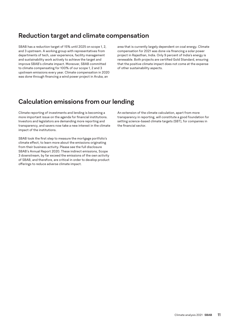### **Reduction target and climate compensation**

SBAB has a reduction target of 15% until 2025 on scope 1, 2, and 3 upstream. A working group with representatives from departments of tech, user experience, facility management and sustainability work actively to achieve the target and improve SBAB's climate impact. Moreover, SBAB committed to climate compensating for 100% of our scope 1, 2 and 3 upstream emissions every year. Climate compensation in 2020 was done through financing a wind power project in Aruba, an

area that is currently largely dependent on coal energy. Climate compensation for 2021 was done via financing a solar power project in Rajasthan, India. Only 9 percent of India's energy is renewable. Both projects are certified Gold Standard, ensuring that the positive climate impact does not come at the expense of other sustainability aspects.

### **Calculation emissions from our lending**

Climate reporting of investments and lending is becoming a more important issue on the agenda for financial institutions. Investors and legislators are demanding more reporting and transparency, and savers now take a new interest in the climate impact of the institutions.

SBAB took the first step to measure the mortgage portfolio's climate effect, to learn more about the emissions originating from their business activity. Please see the full disclosure SBAB's Annual Report 2020. These indirect emissions, Scope 3 downstream, by far exceed the emissions of the own activity of SBAB, and therefore, are critical in order to develop product offerings to reduce adverse climate impact.

An extension of the climate calculation, apart from more transparency in reporting, will constitute a good foundation for setting science-based climate targets (SBT), for companies in the financial sector.